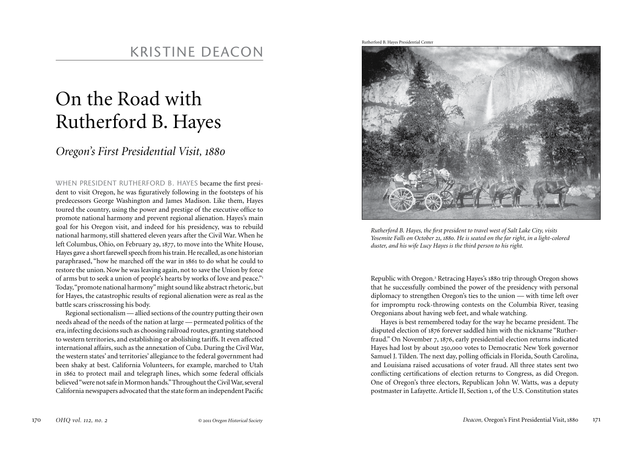## KRISTINE DEACON

# On the Road with Rutherford B. Hayes

## *Oregon's First Presidential Visit, 1880*

WHEN PRESIDENT RUTHERFORD B. HAYES became the first president to visit Oregon, he was figuratively following in the footsteps of his predecessors George Washington and James Madison. Like them, Hayes toured the country, using the power and prestige of the executive office to promote national harmony and prevent regional alienation. Hayes's main goal for his Oregon visit, and indeed for his presidency, was to rebuild national harmony, still shattered eleven years after the Civil War. When he left Columbus, Ohio, on February 29, 1877, to move into the White House, Hayes gave a short farewell speech from his train. He recalled, as one historian paraphrased, "how he marched off the war in 1861 to do what he could to restore the union. Now he was leaving again, not to save the Union by force of arms but to seek a union of people's hearts by works of love and peace."<sup>1</sup> Today, "promote national harmony" might sound like abstract rhetoric, but for Hayes, the catastrophic results of regional alienation were as real as the battle scars crisscrossing his body.

Regional sectionalism — allied sections of the country putting their own needs ahead of the needs of the nation at large — permeated politics of the era, infecting decisions such as choosing railroad routes, granting statehood to western territories, and establishing or abolishing tariffs. It even affected international affairs, such as the annexation of Cuba. During the Civil War, the western states' and territories' allegiance to the federal government had been shaky at best. California Volunteers, for example, marched to Utah in 1862 to protect mail and telegraph lines, which some federal officials believed "were not safe in Mormon hands." Throughout the Civil War, several California newspapers advocated that the state form an independent Pacific Rutherford B. Hayes Presidential Center



*Rutherford B. Hayes, the first president to travel west of Salt Lake City, visits Yosemite Falls on October 21, 1880. He is seated on the far right, in a light-colored duster, and his wife Lucy Hayes is the third person to his right.* 

Republic with Oregon.<sup>2</sup> Retracing Hayes's 1880 trip through Oregon shows that he successfully combined the power of the presidency with personal diplomacy to strengthen Oregon's ties to the union — with time left over for impromptu rock-throwing contests on the Columbia River, teasing Oregonians about having web feet, and whale watching.

Hayes is best remembered today for the way he became president. The disputed election of 1876 forever saddled him with the nickname "Rutherfraud." On November 7, 1876, early presidential election returns indicated Hayes had lost by about 250,000 votes to Democratic New York governor Samuel J. Tilden. The next day, polling officials in Florida, South Carolina, and Louisiana raised accusations of voter fraud. All three states sent two conflicting certifications of election returns to Congress, as did Oregon. One of Oregon's three electors, Republican John W. Watts, was a deputy postmaster in Lafayette. Article II, Section 1, of the U.S. Constitution states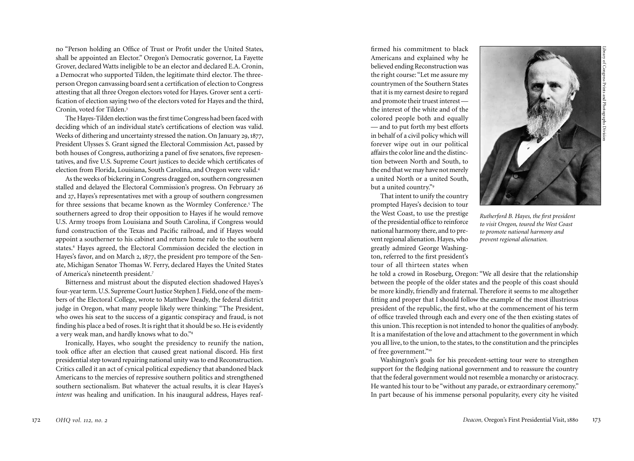no "Person holding an Office of Trust or Profit under the United States, shall be appointed an Elector." Oregon's Democratic governor, La Fayette Grover, declared Watts ineligible to be an elector and declared E.A. Cronin, a Democrat who supported Tilden, the legitimate third elector. The threeperson Oregon canvassing board sent a certification of election to Congress attesting that all three Oregon electors voted for Hayes. Grover sent a certi fication of election saying two of the electors voted for Hayes and the third, Cronin, voted for Tilden. 3

The Hayes-Tilden election was the first time Congress had been faced with deciding which of an individual state's certifications of election was valid. Weeks of dithering and uncertainty stressed the nation. On January 29, 877, |<br>|<br>| President Ulysses S. Grant signed the Electoral Commission Act, passed by both houses of Congress, authorizing a panel of five senators, five represen tatives, and five U.S. Supreme Court justices to decide which certificates of election from Florida, Louisiana, South Carolina, and Oregon were valid. 4

As the weeks of bickering in Congress dragged on, southern congressmen stalled and delayed the Electoral Commission's progress. On February 26 and 2 7, Hayes's representatives met with a group of southern congressmen for three sessions that became known as the Wormley Conference.<sup>5</sup> The southerners agreed to drop their opposition to Hayes if he would remove U.S. Army troops from Louisiana and South Carolina, if Congress would fund construction of the Texas and Pacific railroad, and if Hayes would appoint a southerner to his cabinet and return home rule to the southern states. 6 Hayes agreed, the Electoral Commission decided the election in Hayes's favor, and on March 2, 1877, the president pro tempore of the Sen-|<br>|<br>| ate, Michigan Senator Thomas W. Ferry, declared Hayes the United States of America's nineteenth president. ;

Bitterness and mistrust about the disputed election shadowed Hayes's four-year term. U.S. Supreme Court Justice Stephen J. Field, one of the mem bers of the Electoral College, wrote to Matthew Deady, the federal district judge in Oregon, what many people likely were thinking: "The President, who owes his seat to the success of a gigantic conspiracy and fraud, is not finding his place a bed of roses. It is right that it should be so. He is evidently a very weak man, and hardly knows what to do."<sup>8</sup>

Ironically, Hayes, who sought the presidency to reunify the nation, took office after an election that caused great national discord. His first presidential step toward repairing national unity was to end Reconstruction. Critics called it an act of cynical political expediency that abandoned black Americans to the mercies of repressive southern politics and strengthened southern sectionalism. But whatever the actual results, it is clear Hayes's *intent* was healing and unification. In his inaugural address, Hayes reaffirmed his commitment to black Americans and explained why he believed ending Reconstruction was the right course: "Let me assure my countrymen of the Southern States that it is my earnest desire to regard and promote their truest interest the interest of the white and of the colored people both and equally — and to put forth my best efforts in behalf of a civil policy which will forever wipe out in our political affairs the color line and the distinc tion between North and South, to the end that we may have not merely a united North or a united South, but a united country." 9

That intent to unify the country prompted Hayes's decision to tour the West Coast, to use the prestige of the presidential office to reinforce national harmony there, and to pre vent regional alienation. Hayes, who greatly admired George Washing ton, referred to the first president's tour of all thirteen states when



*Rutherford B. Hayes, the first president to visit Oregon, toured the West Coast to promote national harmony and prevent regional alienation.*

he told a crowd in Roseburg, Oregon: "We all desire that the relationship between the people of the older states and the people of this coast should be more kindly, friendly and fraternal. Therefore it seems to me altogether fitting and proper that I should follow the example of the most illustrious president of the republic, the first, who at the commencement of his term of office traveled through each and every one of the then existing states of this union. This reception is not intended to honor the qualities of anybody. It is a manifestation of the love and attachment to the government in which you all live, to the union, to the states, to the constitution and the principles of free government."10

Washington's goals for his precedent-setting tour were to strengthen support for the fledging national government and to reassure the country that the federal government would not resemble a monarchy or aristocracy. He wanted his tour to be "without any parade, or extraordinary ceremony." In part because of his immense personal popularity, every city he visited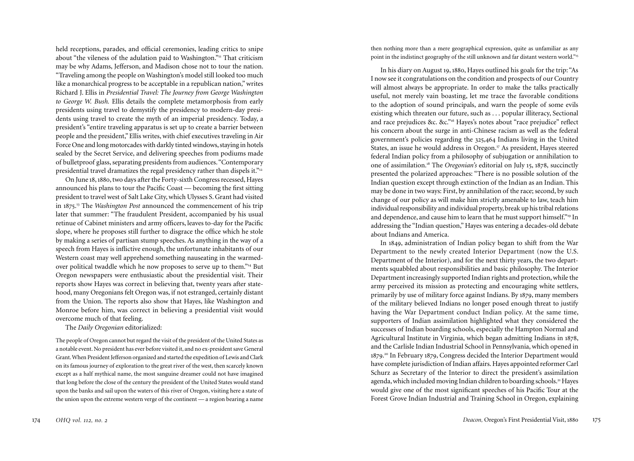held receptions, parades, and official ceremonies, leading critics to snipe about "the vileness of the adulation paid to Washington." That criticism may be why Adams, Jefferson, and Madison chose not to tour the nation. "Traveling among the people on Washington's model still looked too much like a monarchical progress to be acceptable in a republican nation," writes Richard J. Ellis in *Presidential Travel: The Journey from George Washington to George W. Bush.* Ellis details the complete metamorphosis from early presidents using travel to demystify the presidency to modern-day presi dents using travel to create the myth of an imperial presidency. Today, a president's "entire traveling apparatus is set up to create a barrier between people and the president," Ellis writes, with chief executives traveling in Air Force One and long motorcades with darkly tinted windows, staying in hotels sealed by the Secret Service, and delivering speeches from podiums made of bulletproof glass, separating presidents from audiences. "Contemporary presidential travel dramatizes the regal presidency rather than dispels it."<sup>12</sup> 1

On June 8, 188 0, two days after the Forty-sixth Congress recessed, Hayes |<br>|<br>| announced his plans to tour the Pacific Coast — becoming the first sitting president to travel west of Salt Lake City, which Ulysses S. Grant had visited in 8 5 . <sup>13</sup> The *Washington Post* announced the commencement of his trip |<br>|<br>| .<br>. later that summer: "The fraudulent President, accompanied by his usual retinue of Cabinet ministers and army officers, leaves to-day for the Pacific slope, where he proposes still further to disgrace the office which he stole by making a series of partisan stump speeches. As anything in the way of a speech from Hayes is inflictive enough, the unfortunate inhabitants of our Western coast may well apprehend something nauseating in the warmedover political twaddle which he now proposes to serve up to them."<sup>14</sup> But Oregon newspapers were enthusiastic about the presidential visit. Their reports show Hayes was correct in believing that, twenty years after state hood, many Oregonians felt Oregon was, if not estranged, certainly distant from the Union. The reports also show that Hayes, like Washington and Monroe before him, was correct in believing a presidential visit would overcome much of that feeling.

The *Daily Oregonian* editorialized:

The people of Oregon cannot but regard the visit of the president of the United States as a notable event. No president has ever before visited it, and no ex-president save General Grant. When President Jefferson organized and started the expedition of Lewis and Clark on its famous journey of exploration to the great river of the west, then scarcely known except as a half mythical name, the most sanguine dreamer could not have imagined that long before the close of the century the president of the United States would stand upon the banks and sail upon the waters of this river of Oregon, visiting here a state of the union upon the extreme western verge of the continent — a region bearing a name

*OHQ vol. 112, no.* 

then nothing more than a mere geographical expression, quite as unfamiliar as any point in the indistinct geography of the still unknown and far distant western world." 5 1

In his diary on August 9, 188 0, Hayes outlined his goals for the trip: "As |<br>|<br>| I now see it congratulations on the condition and prospects of our Country will almost always be appropriate. In order to make the talks practically useful, not merely vain boasting, let me trace the favorable conditions to the adoption of sound principals, and warn the people of some evils existing which threaten our future, such as . . . popular illiteracy, Sectional and race prejudices &c. &c." 6 Hayes's notes about "race prejudice" reflect 1 his concern about the surge in anti-Chinese racism as well as the federal government's policies regarding the 325 ,464 Indians living in the United States, an issue he would address in Oregon.<sup>17</sup> As president, Hayes steered federal Indian policy from a philosophy of subjugation or annihilation to one of assimilation.<sup>18</sup> The *Oregonian's* editorial on July 15, 1878, succinctly 1 |<br>|<br>| |<br>|<br>| .<br>. presented the polarized approaches: "There is no possible solution of the Indian question except through extinction of the Indian as an Indian. This may be done in two ways: First, by annihilation of the race; second, by such change of our policy as will make him strictly amenable to law, teach him individual responsibility and individual property, break up his tribal relations and dependence, and cause him to learn that he must support himself."<sup>19</sup> In |<br>|<br>| addressing the "Indian question," Hayes was entering a decades-old debate about Indians and America.

In 1849, administration of Indian policy began to shift from the War Department to the newly created Interior Department (now the U.S. Department of the Interior), and for the next thirty years, the two depart ments squabbled about responsibilities and basic philosophy. The Interior Department increasingly supported Indian rights and protection, while the army perceived its mission as protecting and encouraging white settlers, primarily by use of military force against Indians. By 1879, many members |<br>|<br>| .<br>. of the military believed Indians no longer posed enough threat to justify having the War Department conduct Indian policy. At the same time, supporters of Indian assimilation highlighted what they considered the successes of Indian boarding schools, especially the Hampton Normal and Agricultural Institute in Virginia, which began admitting Indians in 8 8, |<br>|<br>| .<br>. and the Carlisle Indian Industrial School in Pennsylvania, which opened in 1879.<sup>20</sup> In February 1879, Congress decided the Interior Department would |<br>|<br>| .<br>. have complete jurisdiction of Indian affairs. Hayes appointed reformer Carl Schurz as Secretary of the Interior to direct the president's assimilation agenda, which included moving Indian children to boarding schools. 2 Hayes 1 would give one of the most significant speeches of his Pacific Tour at the Forest Grove Indian Industrial and Training School in Oregon, explaining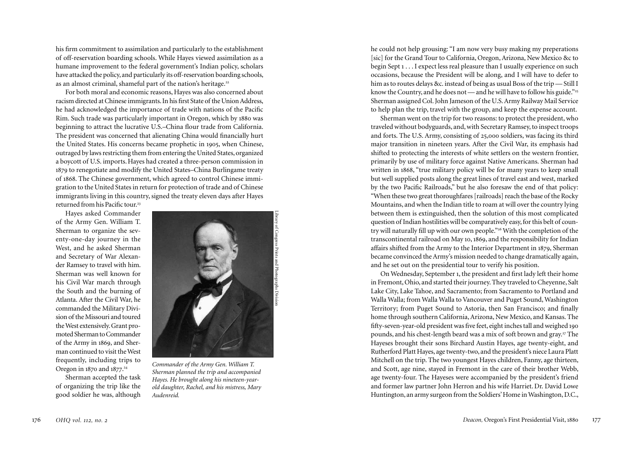his firm commitment to assimilation and particularly to the establishment of off-reservation boarding schools. While Hayes viewed assimilation as a humane improvement to the federal government's Indian policy, scholars have attacked the policy, and particularly its off-reservation boarding schools, as an almost criminal, shameful part of the nation's heritage.<sup>22</sup>

For both moral and economic reasons, Hayes was also concerned about racism directed at Chinese immigrants. In his first State of the Union Address, he had acknowledged the importance of trade with nations of the Pacific Rim. Such trade was particularly important in Oregon, which by 188 0 was beginning to attract the lucrative U.S.–China flour trade from California. The president was concerned that alienating China would financially hurt the United States. His concerns became prophetic in 9 5, when Chinese, |<br>|<br>|  $\overline{a}$ outraged by laws restricting them from entering the United States, organized a boycott of U.S. imports.Hayes had created a three-person commission in 1879 to renegotiate and modify the United States–China Burlingame treaty of 1868. The Chinese government, which agreed to control Chinese immi gration to the United States in return for protection of trade and of Chinese immigrants living in this country, signed the treaty eleven days after Hayes 3

returned from his Pacific tour. 2

Hayes asked Commander of the Army Gen. William T. Sherman to organize the sev enty-one-day journey in the West, and he asked Sherman and Secretary of War Alexan der Ramsey to travel with him. Sherman was well known for his Civil War march through the South and the burning of Atlanta. After the Civil War, he commanded the Military Divi sion of the Missouri and toured the West extensively. Grant pro moted Sherman to Commander of the Army in 1869, and Sher man continued to visit the West frequently, including trips to Oregon in 1870 and 1877.<sup>24</sup> |<br>|<br>| |<br>|<br>|

Sherman accepted the task of organizing the trip like the good soldier he was, although



*Commander of the Army Gen. William T. Sherman planned the trip and accompanied Hayes. He brought along his nineteen-yearold daughter, Rachel, and his mistress, Mary Audenreid.*

he could not help grousing: "I am now very busy making my preperations [sic] for the Grand Tour to California, Oregon, Arizona, New Mexico &c to begin Sept . . . I expect less real pleasure than I usually experience on such |<br>|<br>| occasions, because the President will be along, and I will have to defer to him as to routes delays &c. instead of being as usual Boss of the trip — Still I know the Country, and he does not — and he will have to follow his guide."<sup>25</sup> Sherman assigned Col. John Jameson of the U.S. Army Railway Mail Service to help plan the trip, travel with the group, and keep the expense account.

Sherman went on the trip for two reasons: to protect the president, who traveled without bodyguards, and, with Secretary Ramsey, to inspect troops and forts. The U.S. Army, consisting of 25 ,000 soldiers, was facing its third major transition in nineteen years. After the Civil War, its emphasis had shifted to protecting the interests of white settlers on the western frontier, primarily by use of military force against Native Americans. Sherman had written in 1868, "true military policy will be for many years to keep small but well supplied posts along the great lines of travel east and west, marked by the two Pacific Railroads," but he also foresaw the end of that policy: "When these two great thoroughfares [railroads] reach the base of the Rocky Mountains, and when the Indian title to roam at will over the country lying between them is extinguished, then the solution of this most complicated question of Indian hostilities will be comparatively easy, for this belt of coun try will naturally fill up with our own people."<sup>26</sup> With the completion of the transcontinental railroad on May 10, 1869, and the responsibility for Indian affairs shifted from the Army to the Interior Department in 1879, Sherman |<br>|<br>| .<br>. became convinced the Army's mission needed to change dramatically again, and he set out on the presidential tour to verify his position.

On Wednesday, September 1, the president and first lady left their home in Fremont, Ohio, and started their journey. They traveled to Cheyenne, Salt Lake City, Lake Tahoe, and Sacramento; from Sacramento to Portland and Walla Walla; from Walla Walla to Vancouver and Puget Sound, Washington Territory; from Puget Sound to Astoria, then San Francisco; and finally home through southern California, Arizona, New Mexico, and Kansas. The fifty-seven-year-old president was five feet, eight inches tall and weighed 9 |<br>|<br>|  $\overline{a}$ pounds, and his chest-length beard was a mix of soft brown and gray. 2 The 7 Hayeses brought their sons Birchard Austin Hayes, age twenty-eight, and Rutherford Platt Hayes, age twenty-two, and the president's niece Laura Platt Mitchell on the trip. The two youngest Hayes children, Fanny, age thirteen, and Scott, age nine, stayed in Fremont in the care of their brother Webb, age twenty-four. The Hayeses were accompanied by the president's friend and former law partner John Herron and his wife Harriet.Dr. David Lowe Huntington, an army surgeon from the Soldiers' Home in Washington, D.C.,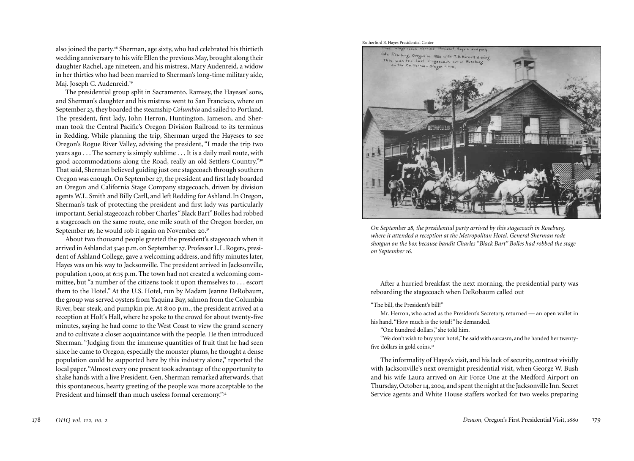also joined the party.<sup>28</sup> Sherman, age sixty, who had celebrated his thirtieth wedding anniversary to his wife Ellen the previous May, brought along their daughter Rachel, age nineteen, and his mistress, Mary Audenreid, a widow in her thirties who had been married to Sherman's long-time military aide, Maj. Joseph C. Audenreid.<sup>29</sup>

The presidential group split in Sacramento. Ramsey, the Hayeses' sons, and Sherman's daughter and his mistress went to San Francisco, where on September 2 3, they boarded the steamship *Columbia* and sailed to Portland. The president, first lady, John Herron, Huntington, Jameson, and Sher man took the Central Pacific's Oregon Division Railroad to its terminus in Redding. While planning the trip, Sherman urged the Hayeses to see Oregon's Rogue River Valley, advising the president, "I made the trip two years ago . . . The scenery is simply sublime . . . It is a daily mail route, with good accommodations along the Road, really an old Settlers Country."<sup>30</sup> That said, Sherman believed guiding just one stagecoach through southern Oregon was enough. On September 2 7, the president and first lady boarded an Oregon and California Stage Company stagecoach, driven by division agents W.L. Smith and Billy Carll, and left Redding for Ashland.In Oregon, Sherman's task of protecting the president and first lady was particularly important. Serial stagecoach robber Charles "Black Bart" Bolles had robbed a stagecoach on the same route, one mile south of the Oregon border, on September 16; he would rob it again on November 20. |<br>|<br>|  $\overline{a}$ 31

About two thousand people greeted the president's stagecoach when it arrived in Ashland at 3:40 p.m. on September 27. Professor L.L. Rogers, presi-3 dent of Ashland College, gave a welcoming address, and fifty minutes later, Hayes was on his way to Jacksonville. The president arrived in Jacksonville, population 1,000, at 6:15 p.m. The town had not created a welcoming com-|<br>|<br>| |<br>|<br>| mittee, but "a number of the citizens took it upon themselves to . . . escort them to the Hotel." At the U.S. Hotel, run by Madam Jeanne DeRobaum, the group was served oysters from Yaquina Bay, salmon from the Columbia River, bear steak, and pumpkin pie. At 8 :00 p.m., the president arrived at a reception at Holt's Hall, where he spoke to the crowd for about twenty-five minutes, saying he had come to the West Coast to view the grand scenery and to cultivate a closer acquaintance with the people. He then introduced Sherman. "Judging from the immense quantities of fruit that he had seen since he came to Oregon, especially the monster plums, he thought a dense population could be supported here by this industry alone," reported the local paper. "Almost every one present took advantage of the opportunity to shake hands with a live President. Gen. Sherman remarked afterwards, that this spontaneous, hearty greeting of the people was more acceptable to the President and himself than much useless formal ceremony."32 3



*On September 28, the presidential party arrived by this stagecoach in Roseburg, where it attended a reception at the Metropolitan Hotel. General Sherman rode shotgun on the box because bandit Charles "Black Bart" Bolles had robbed the stage on September 16 .*

After a hurried breakfast the next morning, the presidential party was reboarding the stagecoach when DeRobaum called out

#### "The bill, the President's bill!"

Mr. Herron, who acted as the President's Secretary, returned — an open wallet in his hand. "How much is the total?" he demanded.

"One hundred dollars," she told him.

"We don't wish to buy your hotel," he said with sarcasm, and he handed her twentyfive dollars in gold coins.<sup>33</sup>

The informality of Hayes's visit, and his lack of security, contrast vividly with Jacksonville's next overnight presidential visit, when George W. Bush and his wife Laura arrived on Air Force One at the Medford Airport on Thursday, October 4, 200 4, and spent the night at the Jacksonville Inn. Secret |<br>|<br>| Service agents and White House staffers worked for two weeks preparing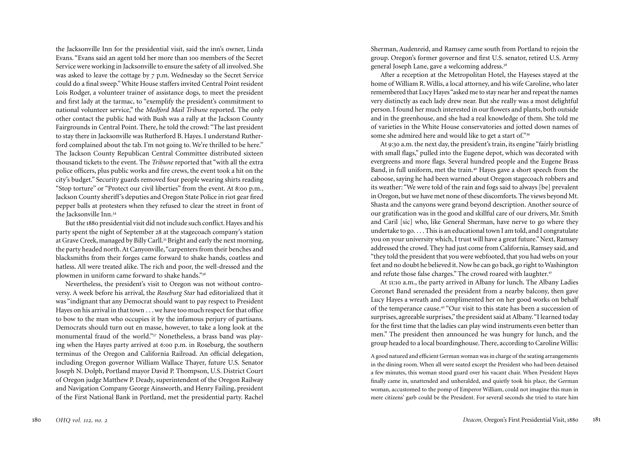the Jacksonville Inn for the presidential visit, said the inn's owner, Linda Evans. "Evans said an agent told her more than 100 members of the Secret Service were working in Jacksonville to ensure the safety of all involved. She was asked to leave the cottage by 7 p.m. Wednesday so the Secret Service could do a final sweep."White House staffers invited Central Point resident Lois Rodger, a volunteer trainer of assistance dogs, to meet the president and first lady at the tarmac, to "exemplify the president's commitment to national volunteer service," the *Medford Mail Tribune* reported. The only other contact the public had with Bush was a rally at the Jackson County Fairgrounds in Central Point. There, he told the crowd: "The last president to stay there in Jacksonville was Rutherford B. Hayes. I understand Ruther ford complained about the tab. I'm not going to. We're thrilled to be here." The Jackson County Republican Central Committee distributed sixteen thousand tickets to the event. The *Tribune* reported that "with all the extra police officers, plus public works and fire crews, the event took a hit on the city's budget." Security guards removed four people wearing shirts reading "Stop torture" or "Protect our civil liberties" from the event. At 8:00 p.m., Jackson County sheriff's deputies and Oregon State Police in riot gear fired pepper balls at protesters when they refused to clear the street in front of the Jacksonville Inn. 4 3

But the 188 0 presidential visit did not include such conflict. Hayes and his party spent the night of September 28 at the stagecoach company's station at Grave Creek, managed by Billy Carll. 5 Bright and early the next morning, 3 the party headed north. At Canyonville, "carpenters from their benches and blacksmiths from their forges came forward to shake hands, coatless and hatless. All were treated alike. The rich and poor, the well-dressed and the plowmen in uniform came forward to shake hands."36 3

Nevertheless, the president's visit to Oregon was not without contro versy. A week before his arrival, the *Roseburg Star* had editorialized that it was "indignant that any Democrat should want to pay respect to President Hayes on his arrival in that town . . . we have too much respect for that office to bow to the man who occupies it by the infamous perjury of partisans. Democrats should turn out en masse, however, to take a long look at the monumental fraud of the world."<sup>37</sup> Nonetheless, a brass band was playing when the Hayes party arrived at 6 :00 p.m. in Roseburg, the southern terminus of the Oregon and California Railroad. An official delegation, including Oregon governor William Wallace Thayer, future U.S. Senator Joseph N. Dolph, Portland mayor David P. Thompson, U.S. District Court of Oregon judge Matthew P. Deady, superintendent of the Oregon Railway and Navigation Company George Ainsworth, and Henry Failing, president of the First National Bank in Portland, met the presidential party. Rachel

18 *OHQ vol. 112, no.*  Sherman, Audenreid, and Ramsey came south from Portland to rejoin the group. Oregon's former governor and first U.S. senator, retired U.S. Army general Joseph Lane, gave a welcoming address. 8 3

After a reception at the Metropolitan Hotel, the Hayeses stayed at the home of William R. Willis, a local attorney, and his wife Caroline, who later remembered that Lucy Hayes "asked me to stay near her and repeat the names very distinctly as each lady drew near. But she really was a most delightful person. I found her much interested in our flowers and plants, both outside and in the greenhouse, and she had a real knowledge of them. She told me of varieties in the White House conservatories and jotted down names of some she admired here and would like to get a start of."<sup>39</sup> 3

At 9 :30 a.m. the next day, the president's train, its engine "fairly bristling with small flags," pulled into the Eugene depot, which was decorated with evergreens and more flags. Several hundred people and the Eugene Brass Band, in full uniform, met the train. 4 Hayes gave a short speech from the 0 caboose, saying he had been warned about Oregon stagecoach robbers and its weather: "We were told of the rain and fogs said to always [be] prevalent in Oregon, but we have met none of these discomforts. The views beyond Mt. Shasta and the canyons were grand beyond description. Another source of our gratification was in the good and skillful care of our drivers, Mr. Smith and Caril [sic] who, like General Sherman, have nerve to go where they undertake to go. . . . This is an educational town I am told, and I congratulate you on your university which, I trust will have a great future."Next, Ramsey addressed the crowd. They had just come from California, Ramsey said, and "they told the president that you were webfooted, that you had webs on your feet and no doubt he believed it. Now he can go back, go right to Washington and refute those false charges." The crowd roared with laughter. 4 |<br>|<br>|

At 11 :10 a.m., the party arrived in Albany for lunch. The Albany Ladies Coronet Band serenaded the president from a nearby balcony, then gave Lucy Hayes a wreath and complimented her on her good works on behalf of the temperance cause.<sup>42</sup> "Our visit to this state has been a succession of surprises, agreeable surprises," the president said at Albany. "I learned today for the first time that the ladies can play wind instruments even better than men." The president then announced he was hungry for lunch, and the group headed to a local boardinghouse.There, according to Caroline Willis:

A good natured and efficient German woman was in charge of the seating arrangements in the dining room. When all were seated except the President who had been detained a few minutes, this woman stood guard over his vacant chair. When President Hayes finally came in, unattended and unheralded, and quietly took his place, the German woman, accustomed to the pomp of Emperor William, could not imagine this man in mere citizens' garb could be the President. For several seconds she tried to stare him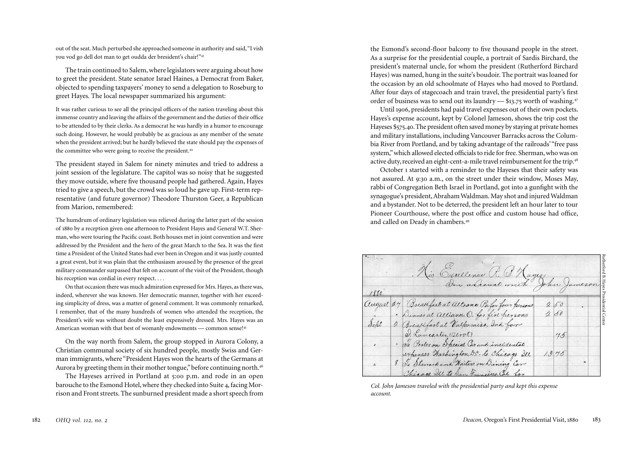out of the seat. Much perturbed she approached someone in authority and said, "I vish you vod go dell dot man to get oudda der bresident's chair!" 4

The train continued to Salem, where legislators were arguing about how to greet the president. State senator Israel Haines, a Democrat from Baker, objected to spending taxpayers' money to send a delegation to Roseburg to greet Hayes. The local newspaper summarized his argument:

It was rather curious to see all the principal officers of the nation traveling about this immense country and leaving the affairs of the government and the duties of their office to be attended to by their clerks. As a democrat he was hardly in a humor to encourage such doing. However, he would probably be as gracious as any member of the senate when the president arrived; but he hardly believed the state should pay the expenses of the committee who were going to receive the president.<sup>44</sup>

The president stayed in Salem for ninety minutes and tried to address a joint session of the legislature. The capitol was so noisy that he suggested they move outside, where five thousand people had gathered. Again, Hayes tried to give a speech, but the crowd was so loud he gave up. First-term rep resentative (and future governor) Theodore Thurston Geer, a Republican from Marion, remembered:

The humdrum of ordinary legislation was relieved during the latter part of the session of 188 0 by a reception given one afternoon to President Hayes and General W.T. Sher man, who were touring the Pacific coast. Both houses met in joint convention and were addressed by the President and the hero of the great March to the Sea. It was the first time a President of the United States had ever been in Oregon and it was justly counted a great event, but it was plain that the enthusiasm aroused by the presence of the great military commander surpassed that felt on account of the visit of the President, though his reception was cordial in every respect. . . .

On that occasion there was much admiration expressed for Mrs. Hayes, as there was, indeed, wherever she was known. Her democratic manner, together with her exceed ing simplicity of dress, was a matter of general comment. It was commonly remarked, I remember, that of the many hundreds of women who attended the reception, the President's wife was without doubt the least expensively dressed. Mrs. Hayes was an American woman with that best of womanly endowments — common sense!<sup>45</sup>

On the way north from Salem, the group stopped in Aurora Colony, a Christian communal society of six hundred people, mostly Swiss and Ger man immigrants, where "President Hayes won the hearts of the Germans at Aurora by greeting them in their mother tongue," before continuing north.<sup>46</sup>

The Hayeses arrived in Portland at 5 :00 p.m. and rode in an open barouche to the Esmond Hotel, where they checked into Suite 4, facing Mor rison and Front streets. The sunburned president made a short speech from

the Esmond's second-floor balcony to five thousand people in the street. As a surprise for the presidential couple, a portrait of Sardis Birchard, the president's maternal uncle, for whom the president (Rutherford Birchard Hayes) was named, hung in the suite's boudoir. The portrait was loaned for the occasion by an old schoolmate of Hayes who had moved to Portland. After four days of stagecoach and train travel, the presidential party's first order of business was to send out its laundry - \$13.75 worth of washing.<sup>4</sup> .<br>. 7

Until 9 6, presidents had paid travel expenses out of their own pockets. |<br>|<br>|  $\overline{a}$ Hayes's expense account, kept by Colonel Jameson, shows the trip cost the Hayeses \$575.40. The president often saved money by staying at private homes .<br>با 0 and military installations, including Vancouver Barracks across the Colum bia River from Portland, and by taking advantage of the railroads' "free pass system," which allowed elected officials to ride for free. Sherman, who was on active duty, received an eight-cent-a-mile travel reimbursement for the trip.<sup>48</sup>

October 1 started with a reminder to the Hayeses that their safety was not assured. At 9 :30 a.m., on the street under their window, Moses May, rabbi of Congregation Beth Israel in Portland, got into a gunfight with the synagogue's president, Abraham Waldman. May shot and injured Waldman and a bystander. Not to be deterred, the president left an hour later to tour Pioneer Courthouse, where the post office and custom house had office, and called on Deady in chambers.<sup>49</sup>

|      | Nio Evellence R. P. Nager<br>Im alcount mich John Jameson                          |      |  |
|------|------------------------------------------------------------------------------------|------|--|
| 1880 |                                                                                    |      |  |
|      | august 27 Breadfast at altoona Pafor four persons                                  | 250  |  |
|      | " Dinner at alliance, O. for fire persons                                          | 200  |  |
| Sept | 2 Breakfast at Valkaraisa, Ind for                                                 |      |  |
|      | 2. Lancaster, (scrot)                                                              | 175  |  |
|      | · do Porter on Special Car and incidental                                          |      |  |
|      |                                                                                    | 1375 |  |
|      | expenses Harbington, D.C. to Chicago Ill<br>8 To Sterrard and Waiter on Dining Car |      |  |
|      | Chicago Ill to San Francisco, Cal for                                              |      |  |

*Col. John Jameson traveled with the presidential party and kept this expense account.*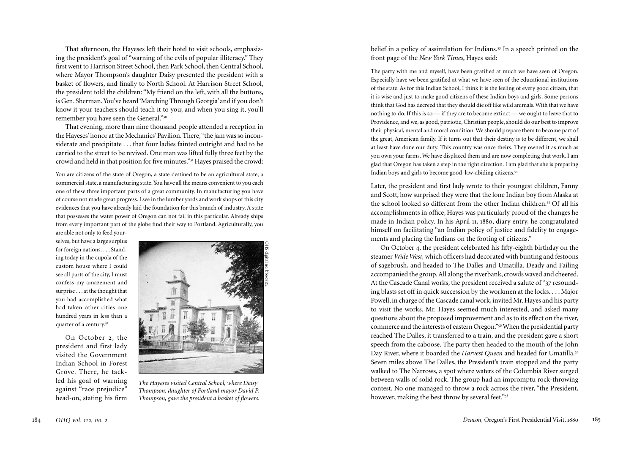That afternoon, the Hayeses left their hotel to visit schools, emphasiz ing the president's goal of "warning of the evils of popular illiteracy." They first went to Harrison Street School, then Park School, then Central School, where Mayor Thompson's daughter Daisy presented the president with a basket of flowers, and finally to North School. At Harrison Street School, the president told the children: "My friend on the left, with all the buttons, is Gen. Sherman. You've heard 'Marching Through Georgia' and if you don't know it your teachers should teach it to you; and when you sing it, you'll remember you have seen the General." 5 0

That evening, more than nine thousand people attended a reception in the Hayeses' honor at the Mechanics' Pavilion. There, "the jam was so incon siderate and precipitate . . . that four ladies fainted outright and had to be carried to the street to be revived. One man was lifted fully three feet by the crowd and held in that position for five minutes." 5 Hayes praised the crowd: 1

You are citizens of the state of Oregon, a state destined to be an agricultural state, a commercial state, a manufacturing state. You have all the means convenient to you each one of these three important parts of a great community. In manufacturing you have of course not made great progress. I see in the lumber yards and work shops of this city evidences that you have already laid the foundation for this branch of industry. A state that possesses the water power of Oregon can not fail in this particular. Already ships from every important part of the globe find their way to Portland. Agriculturally, you

are able not only to feed your selves, but have a large surplus for foreign nations.... Standing today in the cupola of the custom house where I could see all parts of the city, I must confess my amazement and surprise . . . at the thought that you had accomplished what had taken other cities one hundred years in less than a quarter of a century.<sup>52</sup>

On October 2, the president and first lady visited the Government Indian School in Forest Grove. There, he tack led his goal of warning against "race prejudice" head-on, stating his firm



*The Hayeses visited Central School, where Daisy Thompson, daughter of Portland mayor David P. Thompson, gave the president a basket of flowers.*

belief in a policy of assimilation for Indians. 5 In a speech printed on the 3 front page of the *New York Times*, Hayes said:

The party with me and myself, have been gratified at much we have seen of Oregon. Especially have we been gratified at what we have seen of the educational institutions of the state. As for this Indian School, I think it is the feeling of every good citizen, that it is wise and just to make good citizens of these Indian boys and girls. Some persons think that God has decreed that they should die off like wild animals. With that we have nothing to do. If this is so — if they are to become extinct — we ought to leave that to Providence, and we, as good, patriotic, Christian people, should do our best to improve their physical, mental and moral condition. We should prepare them to become part of the great, American family. If it turns out that their destiny is to be different, we shall at least have done our duty. This country was once theirs. They owned it as much as you own your farms. We have displaced them and are now completing that work. I am glad that Oregon has taken a step in the right direction. I am glad that she is preparing Indian boys and girls to become good, law-abiding citizens.<sup>54</sup>

Later, the president and first lady wrote to their youngest children, Fanny and Scott, how surprised they were that the lone Indian boy from Alaska at the school looked so different from the other Indian children.<sup>55</sup> Of all his accomplishments in office, Hayes was particularly proud of the changes he made in Indian policy. In his April 11, 188 0, diary entry, he congratulated himself on facilitating "an Indian policy of justice and fidelity to engage ments and placing the Indians on the footing of citizens."

On October 4, the president celebrated his fifty-eighth birthday on the steamer *Wide West,* which officers had decorated with bunting and festoons of sagebrush, and headed to The Dalles and Umatilla. Deady and Failing accompanied the group. All along the riverbank, crowds waved and cheered. At the Cascade Canal works, the president received a salute of "37 resound ing blasts set off in quick succession by the workmen at the locks. . . . Major Powell, in charge of the Cascade canal work, invited Mr. Hayes and his party to visit the works. Mr. Hayes seemed much interested, and asked many questions about the proposed improvement and as to its effect on the river, commerce and the interests of eastern Oregon."<sup>56</sup> When the presidential party reached The Dalles, it transferred to a train, and the president gave a short speech from the caboose. The party then headed to the mouth of the John Day River, where it boarded the *Harvest Queen* and headed for Umatilla. 5 7 Seven miles above The Dalles, the President's train stopped and the party walked to The Narrows, a spot where waters of the Columbia River surged between walls of solid rock. The group had an impromptu rock-throwing contest. No one managed to throw a rock across the river, "the President, however, making the best throw by several feet."58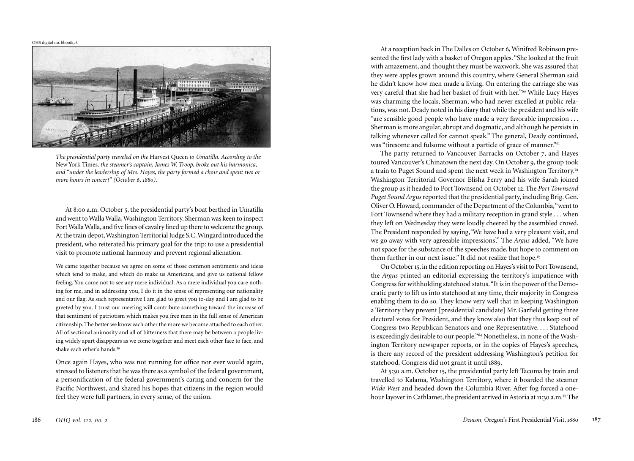OHS digital no. bboo8176



*The presidential party traveled on the* Harvest Queen *to Umatilla. According to the*  New York Times*, the steamer's captain, James W. Troop, broke out his harmonica, and "under the leadership of Mrs. Hayes, the party formed a choir and spent two or more hours in concert" (October 6, 1880).*

At 8 :00 a.m. October 5, the presidential party's boat berthed in Umatilla and went to Walla Walla, Washington Territory. Sherman was keen to inspect Fort Walla Walla, and five lines of cavalry lined up there to welcome the group. At the train depot, Washington Territorial Judge S.C. Wingard introduced the president, who reiterated his primary goal for the trip: to use a presidential visit to promote national harmony and prevent regional alienation.

We came together because we agree on some of those common sentiments and ideas which tend to make, and which do make us Americans, and give us national fellow feeling. You come not to see any mere individual. As a mere individual you care noth ing for me, and in addressing you, I do it in the sense of representing our nationality and our flag. As such representative I am glad to greet you to-day and I am glad to be greeted by you. I trust our meeting will contribute something toward the increase of that sentiment of patriotism which makes you free men in the full sense of American citizenship. The better we know each other the more we become attached to each other. All of sectional animosity and all of bitterness that there may be between a people liv ing widely apart disappears as we come together and meet each other face to face, and shake each other's hands.<sup>59</sup>

Once again Hayes, who was not running for office nor ever would again, stressed to listeners that he was there as a symbol of the federal government, a personification of the federal government's caring and concern for the Pacific Northwest, and shared his hopes that citizens in the region would feel they were full partners, in every sense, of the union.

At a reception back in The Dalles on October 6, Winifred Robinson pre sented the first lady with a basket of Oregon apples. "She looked at the fruit with amazement, and thought they must be waxwork. She was assured that they were apples grown around this country, where General Sherman said he didn't know how men made a living. On entering the carriage she was very careful that she had her basket of fruit with her." 6 While Lucy Hayes 0 was charming the locals, Sherman, who had never excelled at public rela tions, was not. Deady noted in his diary that while the president and his wife "are sensible good people who have made a very favorable impression . . . Sherman is more angular, abrupt and dogmatic, and although he persists in talking whenever called for cannot speak." The general, Deady continued, was "tiresome and fulsome without a particle of grace of manner." 6 1

The party returned to Vancouver Barracks on October 7, and Hayes toured Vancouver's Chinatown the next day. On October 9, the group took a train to Puget Sound and spent the next week in Washington Territory.<sup>62</sup> Washington Territorial Governor Elisha Ferry and his wife Sarah joined the group as it headed to Port Townsend on October 2 .The *Port Townsend*  |<br>|<br>| *Puget Sound Argus* reported that the presidential party, including Brig. Gen. Oliver O. Howard, commander of the Department of the Columbia, "went to Fort Townsend where they had a military reception in grand style . . . when they left on Wednesday they were loudly cheered by the assembled crowd. The President responded by saying, 'We have had a very pleasant visit, and we go away with very agreeable impressions'." The *Argus* added, "We have not space for the substance of the speeches made, but hope to comment on them further in our next issue." It did not realize that hope. 6 3

On October 5, in the edition reporting on Hayes's visit to Port Townsend, |<br>|<br>| the *Argus* printed an editorial expressing the territory's impatience with Congress for withholding statehood status. "It is in the power of the Demo cratic party to lift us into statehood at any time, their majority in Congress enabling them to do so. They know very well that in keeping Washington a Territory they prevent [presidential candidate] Mr. Garfield getting three electoral votes for President, and they know also that they thus keep out of Congress two Republican Senators and one Representative.... Statehood is exceedingly desirable to our people."<sup>64</sup> Nonetheless, in none of the Washington Territory newspaper reports, or in the copies of Hayes's speeches, is there any record of the president addressing Washington's petition for statehood. Congress did not grant it until 1889 .

At 5:30 a.m. October 15, the presidential party left Tacoma by train and |<br>|<br>| travelled to Kalama, Washington Territory, where it boarded the steamer *Wide West* and headed down the Columbia River. After fog forced a onehour layover in Cathlamet, the president arrived in Astoria at 11:30 a.m.<sup>65</sup> The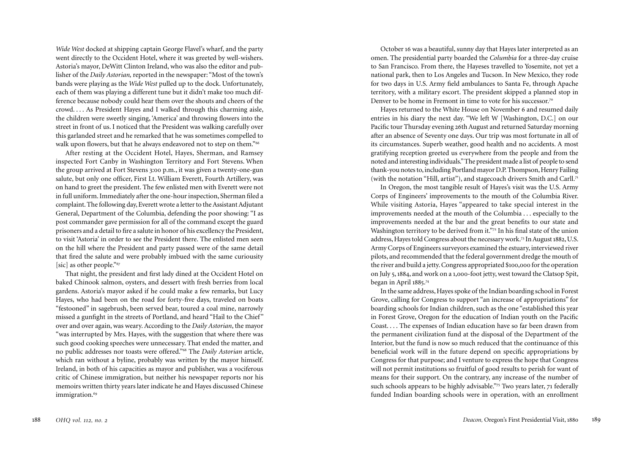*Wide West* docked at shipping captain George Flavel's wharf, and the party went directly to the Occident Hotel, where it was greeted by well-wishers. Astoria's mayor, DeWitt Clinton Ireland, who was also the editor and publisher of the *Daily Astorian,* reported in the newspaper: "Most of the town's bands were playing as the *Wide West* pulled up to the dock. Unfortunately, each of them was playing a different tune but it didn't make too much difference because nobody could hear them over the shouts and cheers of the crowd. . . . As President Hayes and I walked through this charming aisle, the children were sweetly singing, 'America' and throwing flowers into the street in front of us. I noticed that the President was walking carefully over this garlanded street and he remarked that he was sometimes compelled to walk upon flowers, but that he always endeavored not to step on them."<sup>66</sup>

After resting at the Occident Hotel, Hayes, Sherman, and Ramsey inspected Fort Canby in Washington Territory and Fort Stevens. When the group arrived at Fort Stevens 3:00 p.m., it was given a twenty-one-gun salute, but only one officer, First Lt. William Everett, Fourth Artillery, was on hand to greet the president. The few enlisted men with Everett were not in full uniform. Immediately after the one-hour inspection, Sherman filed a complaint. The following day, Everett wrote a letter to the Assistant Adjutant General, Department of the Columbia, defending the poor showing: "I as post commander gave permission for all of the command except the guard prisoners and a detail to fire a salute in honor of his excellency the President, to visit 'Astoria' in order to see the President there. The enlisted men seen on the hill where the President and party passed were of the same detail that fired the salute and were probably imbued with the same curiousity [sic] as other people."67

That night, the president and first lady dined at the Occident Hotel on baked Chinook salmon, oysters, and dessert with fresh berries from local gardens. Astoria's mayor asked if he could make a few remarks, but Lucy Hayes, who had been on the road for forty-five days, traveled on boats "festooned" in sagebrush, been served bear, toured a coal mine, narrowly missed a gunfight in the streets of Portland, and heard "Hail to the Chief" over and over again, was weary. According to the *Daily Astorian*, the mayor "was interrupted by Mrs. Hayes, with the suggestion that where there was such good cooking speeches were unnecessary. That ended the matter, and no public addresses nor toasts were offered."<sup>68</sup> The *Daily Astorian* article, which ran without a byline, probably was written by the mayor himself. Ireland, in both of his capacities as mayor and publisher, was a vociferous critic of Chinese immigration, but neither his newspaper reports nor his memoirs written thirty years later indicate he and Hayes discussed Chinese immigration.<sup>69</sup>

October 16 was a beautiful, sunny day that Hayes later interpreted as an omen. The presidential party boarded the *Columbia* for a three-day cruise to San Francisco. From there, the Hayeses travelled to Yosemite, not yet a national park, then to Los Angeles and Tucson. In New Mexico, they rode for two days in U.S. Army field ambulances to Santa Fe, through Apache territory, with a military escort. The president skipped a planned stop in Denver to be home in Fremont in time to vote for his successor.<sup>70</sup>

Hayes returned to the White House on November 6 and resumed daily entries in his diary the next day. "We left W [Washington, D.C.] on our Pacific tour Thursday evening 26th August and returned Saturday morning after an absence of Seventy one days. Our trip was most fortunate in all of its circumstances. Superb weather, good health and no accidents. A most gratifying reception greeted us everywhere from the people and from the noted and interesting individuals." The president made a list of people to send thank-you notes to, including Portland mayor D.P. Thompson, Henry Failing (with the notation "Hill, artist"), and stagecoach drivers Smith and Carll.<sup>71</sup>

In Oregon, the most tangible result of Hayes's visit was the U.S. Army Corps of Engineers' improvements to the mouth of the Columbia River. While visiting Astoria, Hayes "appeared to take special interest in the improvements needed at the mouth of the Columbia . . . especially to the improvements needed at the bar and the great benefits to our state and Washington territory to be derived from it."<sup>72</sup> In his final state of the union address, Hayes told Congress about the necessary work.<sup>73</sup> In August 1882, U.S. Army Corps of Engineers surveyors examined the estuary, interviewed river pilots, and recommended that the federal government dredge the mouth of the river and build a jetty. Congress appropriated \$100,000 for the operation on July 5, 1884, and work on a 1,000-foot jetty, west toward the Clatsop Spit, began in April 1885. 74

In the same address, Hayes spoke of the Indian boarding school in Forest Grove, calling for Congress to support "an increase of appropriations" for boarding schools for Indian children, such as the one "established this year in Forest Grove, Oregon for the education of Indian youth on the Pacific Coast. . . . The expenses of Indian education have so far been drawn from the permanent civilization fund at the disposal of the Department of the Interior, but the fund is now so much reduced that the continuance of this beneficial work will in the future depend on specific appropriations by Congress for that purpose; and I venture to express the hope that Congress will not permit institutions so fruitful of good results to perish for want of means for their support. On the contrary, any increase of the number of such schools appears to be highly advisable."<sup>75</sup> Two years later, 71 federally funded Indian boarding schools were in operation, with an enrollment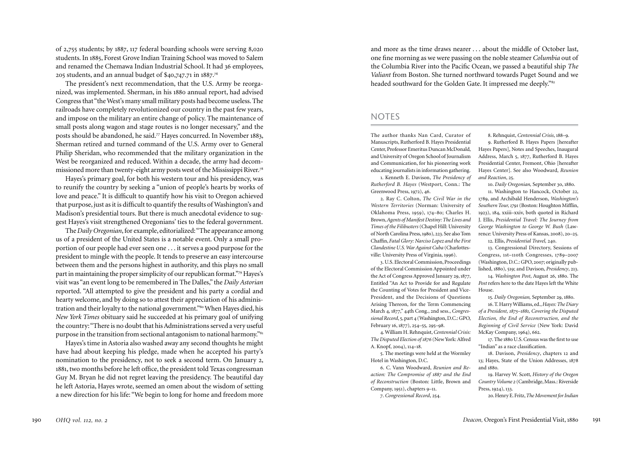of 2 , 755 students; by 188 7, 117 federal boarding schools were serving 8 , 2  $\overline{a}$ 0 students. In 1885, Forest Grove Indian Training School was moved to Salem and renamed the Chemawa Indian Industrial School. It had 6 employees, 3 205 students, and an annual budget of \$40,747.71 in 1887.<sup>76</sup> 0 0 7 .<br>با 7

The president's next recommendation, that the U.S. Army be reorga nized, was implemented. Sherman, in his 188 0 annual report, had advised Congress that "the West's many small military posts had become useless. The railroads have completely revolutionized our country in the past few years, and impose on the military an entire change of policy. The maintenance of small posts along wagon and stage routes is no longer necessary," and the posts should be abandoned, he said.<sup>77</sup> Hayes concurred. In November 1883, Sherman retired and turned command of the U.S. Army over to General Philip Sheridan, who recommended that the military organization in the West be reorganized and reduced. Within a decade, the army had decom missioned more than twenty-eight army posts west of the Mississippi River.<sup>78</sup> 7

Hayes's primary goal, for both his western tour and his presidency, was to reunify the country by seeking a "union of people's hearts by works of love and peace." It is difficult to quantify how his visit to Oregon achieved that purpose, just as it is difficult to quantify the results of Washington's and Madison's presidential tours. But there is much anecdotal evidence to sug gest Hayes's visit strengthened Oregonians' ties to the federal government.

The *Daily Oregonian*, for example, editorialized: "The appearance among us of a president of the United States is a notable event. Only a small pro portion of our people had ever seen one . . . it serves a good purpose for the president to mingle with the people. It tends to preserve an easy intercourse between them and the persons highest in authority, and this plays no small part in maintaining the proper simplicity of our republican format."<sup>79</sup> Hayes's 7 visit was "an event long to be remembered in The Dalles," the *Daily Astorian*  reported. "All attempted to give the president and his party a cordial and hearty welcome, and by doing so to attest their appreciation of his adminis tration and their loyalty to the national government." 8 When Hayes died, his 0 *New York Times* obituary said he succeeded at his primary goal of unifying the country: "There is no doubt that his Administrations served a very useful purpose in the transition from sectional antagonism to national harmony." 8 1

Hayes's time in Astoria also washed away any second thoughts he might have had about keeping his pledge, made when he accepted his party's nomination to the presidency, not to seek a second term. On January 2, 188 1, two months before he left office, the president told Texas congressman Guy M. Bryan he did not regret leaving the presidency. The beautiful day he left Astoria, Hayes wrote, seemed an omen about the wisdom of setting a new direction for his life: "We begin to long for home and freedom more

and more as the time draws nearer ... about the middle of October last, one fine morning as we were passing on the noble steamer *Columbia* out of the Columbia River into the Pacific Ocean, we passed a beautiful ship *The Valiant* from Boston. She turned northward towards Puget Sound and we headed southward for the Golden Gate. It impressed me deeply."82

### **NOTES**

The author thanks Nan Card, Curator of Manuscripts, Rutherford B. Hayes Presidential Center, Professor Emeritus Duncan McDonald, and University of Oregon School of Journalism and Communication, for his pioneering work educating journalists in information gathering. 1. Kenneth E. Davison, *The Presidency of* 

*Rutherford B. Hayes* (Westport, Conn.: The Greenwood Press, 1972), 46. |<br>|<br>| ;

2. Ray C. Colton, *The Civil War in the Western Territories* (Norman: University of Oklahoma Press, 1959), 17 4 – 8 0; Charles H. Brown, *Agents of Manifest Destiny: The Lives and Times of the Filibusters* (Chapel Hill: University of North Carolina Press, 198 0), 22 3. See also Tom Chaffin, *Fatal Glory: Narciso Lopez and the First Clandestine U.S. War Against Cuba* (Charlottes ville: University Press of Virginia, 1996).

3. U.S. Electoral Commission, Proceedings of the Electoral Commission Appointed under the Act of Congress Approved January 29, 877, |<br>|<br>| Entitled "An Act to Provide for and Regulate the Counting of Votes for President and Vice-President, and the Decisions of Questions Arising Thereon, for the Term Commencing March 4, 877," 44th Cong., 2nd sess., *Congres -* |<br>|<br>| *sional Record*, 5, part 4 (Washington, D.C.: GPO, February 16, 1877), 254-55, 295-98. |<br>|<br>| |<br>|<br>|

4. William H. Rehnquist, *Centennial Crisis: The Disputed Election of 1876* (New York: Alfred A. Knopf, 2004), 114–18. |<br>|<br>|

5. The meetings were held at the Wormley Hotel in Washington, D.C.

6. C. Vann Woodward, *Reunion and Re action: The Compromise of 1887 and the End of Reconstruction* (Boston: Little, Brown and Company, 1951), chapters 9-11.

7. *Congressional Record*, 254 .

8. Rehnquist, *Centennial Crisis*, 188 – 9 . 9. Rutherford B. Hayes Papers [hereafter

Hayes Papers], Notes and Speeches, Inaugural Address, March 5, 877, Rutherford B. Hayes |<br>|<br>| Presidential Center, Fremont, Ohio [hereafter Hayes Center]. See also Woodward, *Reunion and Reaction*, 25 .

> 10. *Daily Oregonian,* September 30, 188 . 0

11. Washington to Hancock, October 22, 1789, and Archibald Henderson, *Washington's Southern Tour, 1791* (Boston: Houghton Mifflin, 1923), 184, xxiii–xxiv, both quoted in Richard J. Ellis, *Presidential Travel: The Journey from George Washington to George W. Bush* (Law rence: University Press of Kansas, 2008), 20-25. 0

|<br>|<br>| 2. Ellis, *Presidential Travel,* 24 . 0

13. Congressional Directory, Sessions of Congress, 1st-11oth Congresses, 1789-2 (Washington, D.C.: GPO, 2007; originally pub lished, 1880), 519; and Davison, Presidency, 213. |<br>|<br>|

|<br>|<br>| 4. *Washington Post*, August 26, 188 0. The *Post* refers here to the date Hayes left the White House.

15. *Daily Oregonian,* September 29, 188 . 0

|<br>|<br>| 6. T. Harry Williams, ed., *Hayes: The Diary of a President, 1875 –1881, Covering the Disputed Election, the End of Reconstruction, and the Beginning of Civil Service* (New York: David McKay Company, 1964), 662 .

17. The 188 0 U.S. Census was the first to use "Indian" as a race classification.

18. Davison, Presidency, chapters 12 and |<br>|<br>| 13; Hayes, State of the Union Addresses, 8 8 |<br>|<br>| ; and 188 .  $\overline{a}$ 

|<br>|<br>| 9. Harvey W. Scott, *History of the Oregon Country Volume 2* (Cambridge, Mass.: Riverside Press, 1924), 133 .

2 0. Henry E. Fritz, *The Movement for Indian*